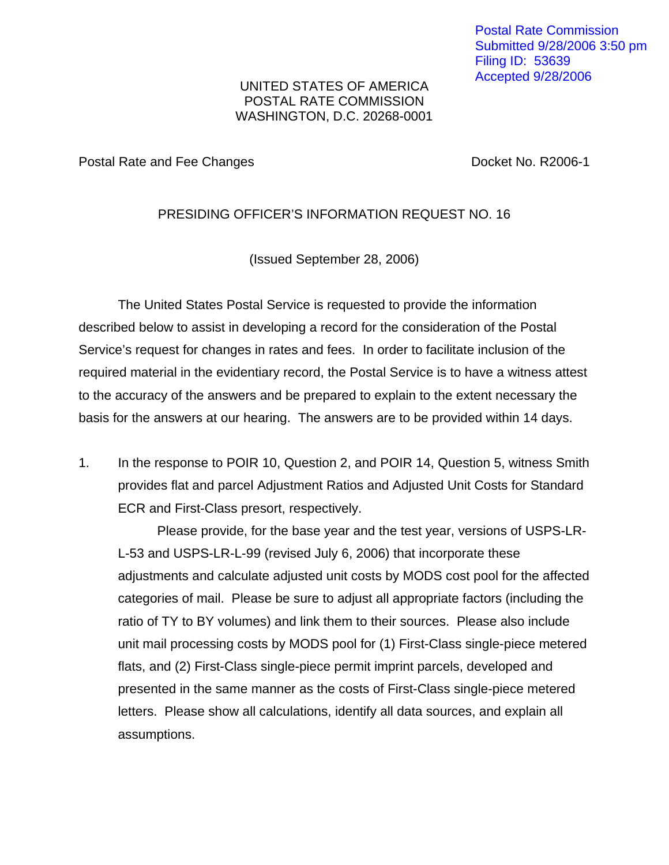Postal Rate Commission Submitted 9/28/2006 3:50 pm Filing ID: 53639 Accepted 9/28/2006

## UNITED STATES OF AMERICA POSTAL RATE COMMISSION WASHINGTON, D.C. 20268-0001

Postal Rate and Fee Changes **Docket No. R2006-1** 

## PRESIDING OFFICER'S INFORMATION REQUEST NO. 16

(Issued September 28, 2006)

The United States Postal Service is requested to provide the information described below to assist in developing a record for the consideration of the Postal Service's request for changes in rates and fees. In order to facilitate inclusion of the required material in the evidentiary record, the Postal Service is to have a witness attest to the accuracy of the answers and be prepared to explain to the extent necessary the basis for the answers at our hearing. The answers are to be provided within 14 days.

1. In the response to POIR 10, Question 2, and POIR 14, Question 5, witness Smith provides flat and parcel Adjustment Ratios and Adjusted Unit Costs for Standard ECR and First-Class presort, respectively.

Please provide, for the base year and the test year, versions of USPS-LR-L-53 and USPS-LR-L-99 (revised July 6, 2006) that incorporate these adjustments and calculate adjusted unit costs by MODS cost pool for the affected categories of mail. Please be sure to adjust all appropriate factors (including the ratio of TY to BY volumes) and link them to their sources. Please also include unit mail processing costs by MODS pool for (1) First-Class single-piece metered flats, and (2) First-Class single-piece permit imprint parcels, developed and presented in the same manner as the costs of First-Class single-piece metered letters. Please show all calculations, identify all data sources, and explain all assumptions.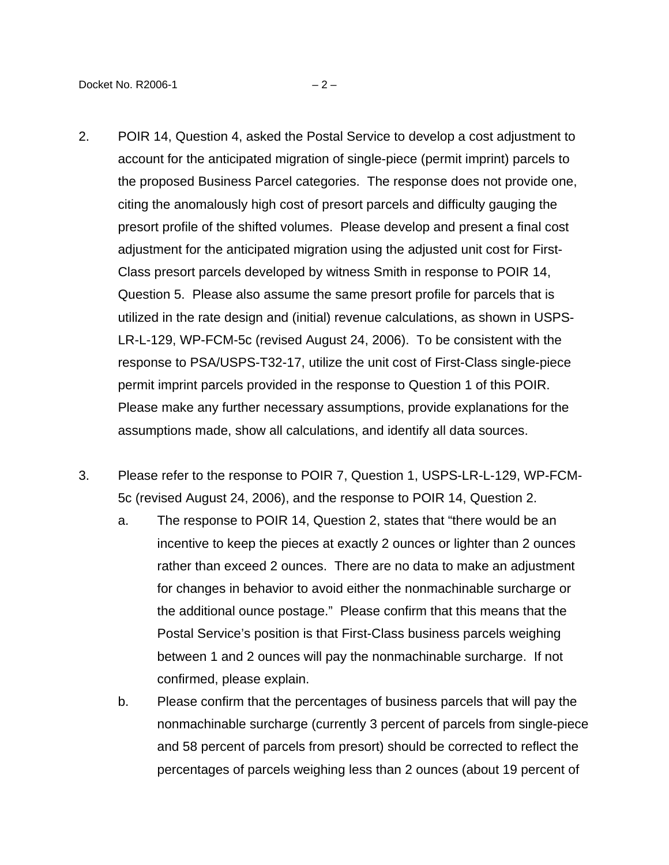- 2. POIR 14, Question 4, asked the Postal Service to develop a cost adjustment to account for the anticipated migration of single-piece (permit imprint) parcels to the proposed Business Parcel categories. The response does not provide one, citing the anomalously high cost of presort parcels and difficulty gauging the presort profile of the shifted volumes. Please develop and present a final cost adjustment for the anticipated migration using the adjusted unit cost for First-Class presort parcels developed by witness Smith in response to POIR 14, Question 5. Please also assume the same presort profile for parcels that is utilized in the rate design and (initial) revenue calculations, as shown in USPS-LR-L-129, WP-FCM-5c (revised August 24, 2006). To be consistent with the response to PSA/USPS-T32-17, utilize the unit cost of First-Class single-piece permit imprint parcels provided in the response to Question 1 of this POIR. Please make any further necessary assumptions, provide explanations for the assumptions made, show all calculations, and identify all data sources.
- 3. Please refer to the response to POIR 7, Question 1, USPS-LR-L-129, WP-FCM-5c (revised August 24, 2006), and the response to POIR 14, Question 2.
	- a. The response to POIR 14, Question 2, states that "there would be an incentive to keep the pieces at exactly 2 ounces or lighter than 2 ounces rather than exceed 2 ounces. There are no data to make an adjustment for changes in behavior to avoid either the nonmachinable surcharge or the additional ounce postage." Please confirm that this means that the Postal Service's position is that First-Class business parcels weighing between 1 and 2 ounces will pay the nonmachinable surcharge. If not confirmed, please explain.
	- b. Please confirm that the percentages of business parcels that will pay the nonmachinable surcharge (currently 3 percent of parcels from single-piece and 58 percent of parcels from presort) should be corrected to reflect the percentages of parcels weighing less than 2 ounces (about 19 percent of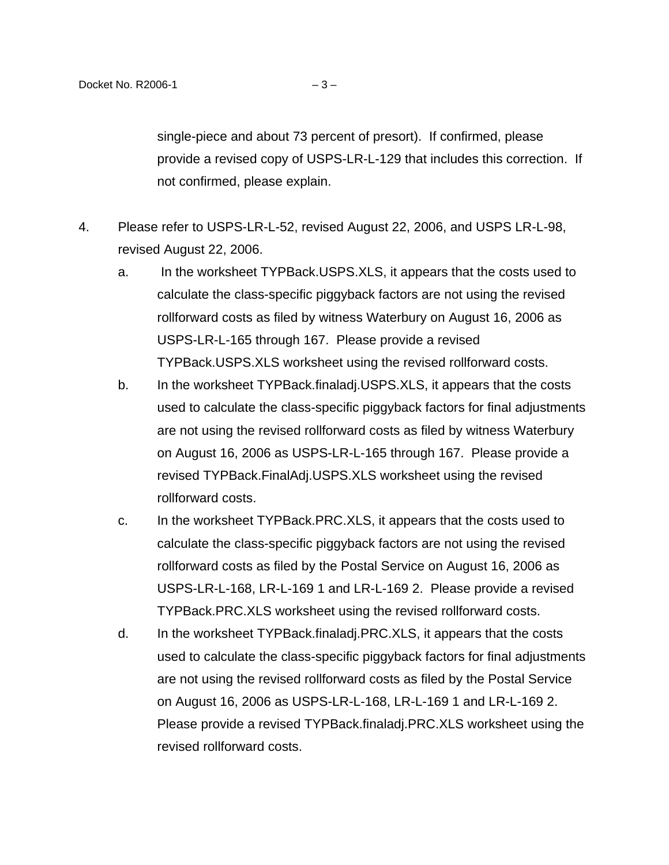single-piece and about 73 percent of presort). If confirmed, please provide a revised copy of USPS-LR-L-129 that includes this correction. If not confirmed, please explain.

- 4. Please refer to USPS-LR-L-52, revised August 22, 2006, and USPS LR-L-98, revised August 22, 2006.
	- a. In the worksheet TYPBack.USPS.XLS, it appears that the costs used to calculate the class-specific piggyback factors are not using the revised rollforward costs as filed by witness Waterbury on August 16, 2006 as USPS-LR-L-165 through 167. Please provide a revised TYPBack.USPS.XLS worksheet using the revised rollforward costs.
	- b. In the worksheet TYPBack.finaladj.USPS.XLS, it appears that the costs used to calculate the class-specific piggyback factors for final adjustments are not using the revised rollforward costs as filed by witness Waterbury on August 16, 2006 as USPS-LR-L-165 through 167. Please provide a revised TYPBack.FinalAdj.USPS.XLS worksheet using the revised rollforward costs.
	- c. In the worksheet TYPBack.PRC.XLS, it appears that the costs used to calculate the class-specific piggyback factors are not using the revised rollforward costs as filed by the Postal Service on August 16, 2006 as USPS-LR-L-168, LR-L-169 1 and LR-L-169 2. Please provide a revised TYPBack.PRC.XLS worksheet using the revised rollforward costs.
	- d. In the worksheet TYPBack.finaladj.PRC.XLS, it appears that the costs used to calculate the class-specific piggyback factors for final adjustments are not using the revised rollforward costs as filed by the Postal Service on August 16, 2006 as USPS-LR-L-168, LR-L-169 1 and LR-L-169 2. Please provide a revised TYPBack.finaladj.PRC.XLS worksheet using the revised rollforward costs.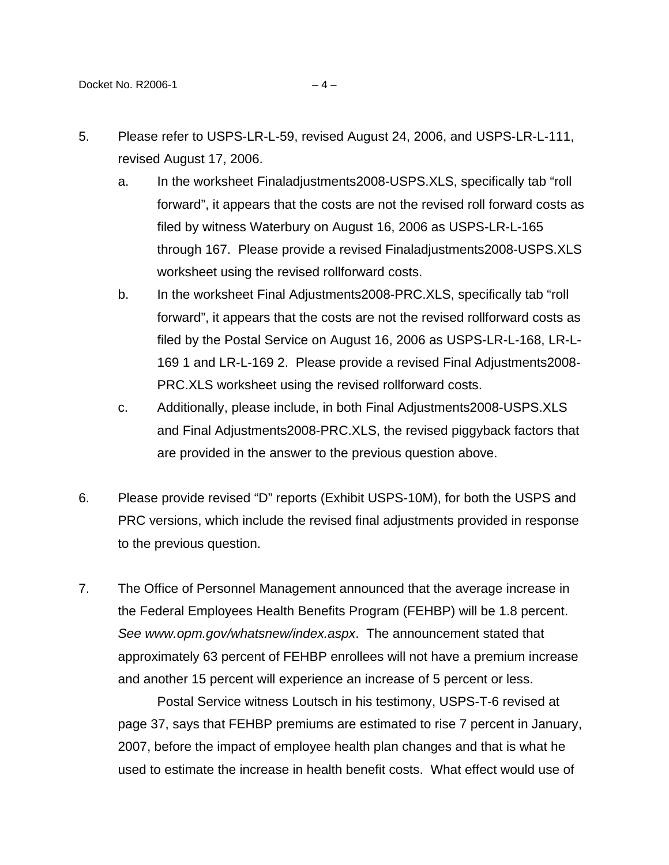- 5. Please refer to USPS-LR-L-59, revised August 24, 2006, and USPS-LR-L-111, revised August 17, 2006.
	- a. In the worksheet Finaladjustments2008-USPS.XLS, specifically tab "roll forward", it appears that the costs are not the revised roll forward costs as filed by witness Waterbury on August 16, 2006 as USPS-LR-L-165 through 167. Please provide a revised Finaladjustments2008-USPS.XLS worksheet using the revised rollforward costs.
	- b. In the worksheet Final Adjustments2008-PRC.XLS, specifically tab "roll forward", it appears that the costs are not the revised rollforward costs as filed by the Postal Service on August 16, 2006 as USPS-LR-L-168, LR-L-169 1 and LR-L-169 2. Please provide a revised Final Adjustments2008- PRC.XLS worksheet using the revised rollforward costs.
	- c. Additionally, please include, in both Final Adjustments2008-USPS.XLS and Final Adjustments2008-PRC.XLS, the revised piggyback factors that are provided in the answer to the previous question above.
- 6. Please provide revised "D" reports (Exhibit USPS-10M), for both the USPS and PRC versions, which include the revised final adjustments provided in response to the previous question.
- 7. The Office of Personnel Management announced that the average increase in the Federal Employees Health Benefits Program (FEHBP) will be 1.8 percent. See [www.opm.gov/whatsnew/index.aspx](http://www.opm.gov/whatsnew/index.aspx). The announcement stated that approximately 63 percent of FEHBP enrollees will not have a premium increase and another 15 percent will experience an increase of 5 percent or less.

Postal Service witness Loutsch in his testimony, USPS-T-6 revised at page 37, says that FEHBP premiums are estimated to rise 7 percent in January, 2007, before the impact of employee health plan changes and that is what he used to estimate the increase in health benefit costs. What effect would use of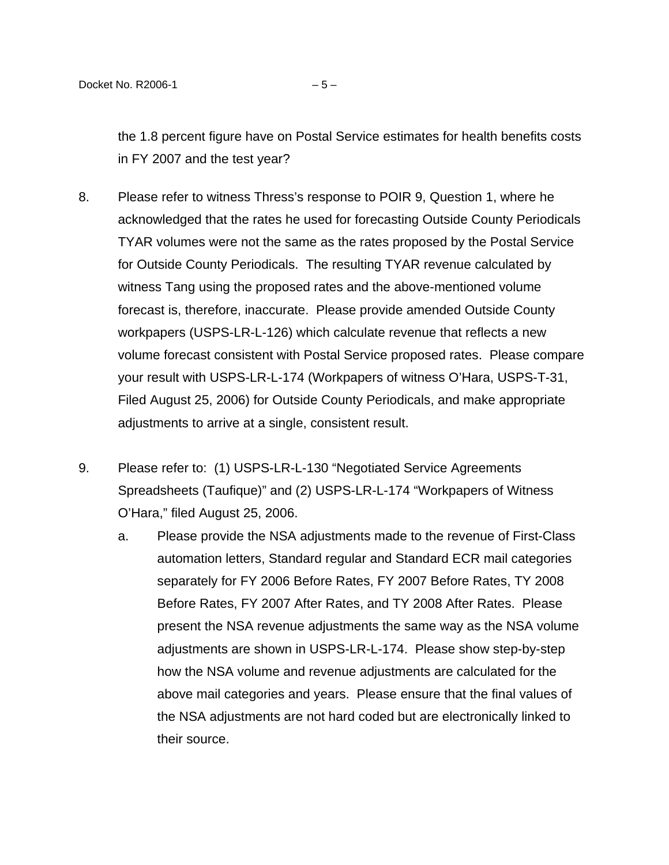the 1.8 percent figure have on Postal Service estimates for health benefits costs in FY 2007 and the test year?

- 8. Please refer to witness Thress's response to POIR 9, Question 1, where he acknowledged that the rates he used for forecasting Outside County Periodicals TYAR volumes were not the same as the rates proposed by the Postal Service for Outside County Periodicals. The resulting TYAR revenue calculated by witness Tang using the proposed rates and the above-mentioned volume forecast is, therefore, inaccurate. Please provide amended Outside County workpapers (USPS-LR-L-126) which calculate revenue that reflects a new volume forecast consistent with Postal Service proposed rates. Please compare your result with USPS-LR-L-174 (Workpapers of witness O'Hara, USPS-T-31, Filed August 25, 2006) for Outside County Periodicals, and make appropriate adjustments to arrive at a single, consistent result.
- 9. Please refer to: (1) USPS-LR-L-130 "Negotiated Service Agreements Spreadsheets (Taufique)" and (2) USPS-LR-L-174 "Workpapers of Witness O'Hara," filed August 25, 2006.
	- a. Please provide the NSA adjustments made to the revenue of First-Class automation letters, Standard regular and Standard ECR mail categories separately for FY 2006 Before Rates, FY 2007 Before Rates, TY 2008 Before Rates, FY 2007 After Rates, and TY 2008 After Rates. Please present the NSA revenue adjustments the same way as the NSA volume adjustments are shown in USPS-LR-L-174. Please show step-by-step how the NSA volume and revenue adjustments are calculated for the above mail categories and years. Please ensure that the final values of the NSA adjustments are not hard coded but are electronically linked to their source.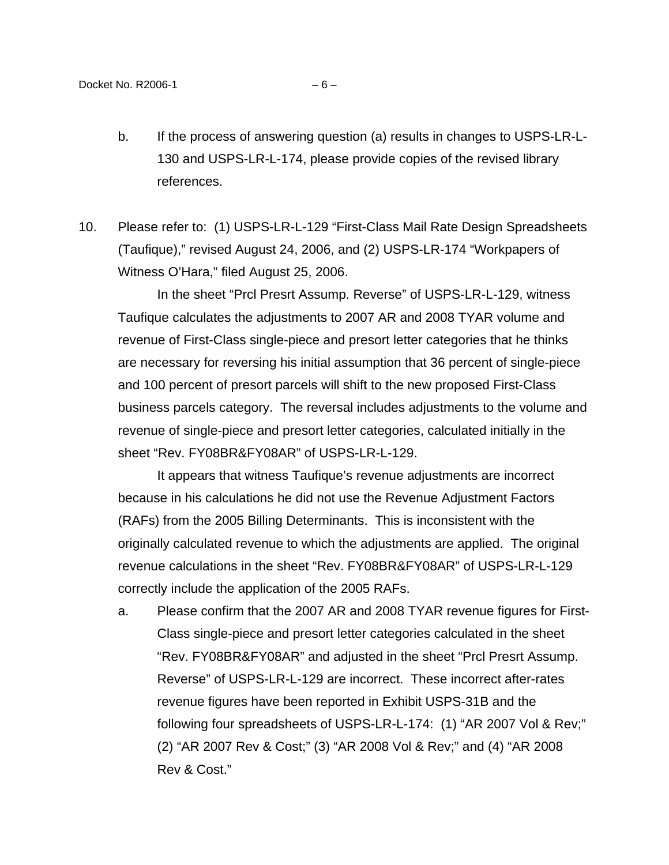- b. If the process of answering question (a) results in changes to USPS-LR-L-130 and USPS-LR-L-174, please provide copies of the revised library references.
- 10. Please refer to: (1) USPS-LR-L-129 "First-Class Mail Rate Design Spreadsheets (Taufique)," revised August 24, 2006, and (2) USPS-LR-174 "Workpapers of Witness O'Hara," filed August 25, 2006.

In the sheet "Prcl Presrt Assump. Reverse" of USPS-LR-L-129, witness Taufique calculates the adjustments to 2007 AR and 2008 TYAR volume and revenue of First-Class single-piece and presort letter categories that he thinks are necessary for reversing his initial assumption that 36 percent of single-piece and 100 percent of presort parcels will shift to the new proposed First-Class business parcels category. The reversal includes adjustments to the volume and revenue of single-piece and presort letter categories, calculated initially in the sheet "Rev. FY08BR&FY08AR" of USPS-LR-L-129.

It appears that witness Taufique's revenue adjustments are incorrect because in his calculations he did not use the Revenue Adjustment Factors (RAFs) from the 2005 Billing Determinants. This is inconsistent with the originally calculated revenue to which the adjustments are applied. The original revenue calculations in the sheet "Rev. FY08BR&FY08AR" of USPS-LR-L-129 correctly include the application of the 2005 RAFs.

a. Please confirm that the 2007 AR and 2008 TYAR revenue figures for First-Class single-piece and presort letter categories calculated in the sheet "Rev. FY08BR&FY08AR" and adjusted in the sheet "Prcl Presrt Assump. Reverse" of USPS-LR-L-129 are incorrect. These incorrect after-rates revenue figures have been reported in Exhibit USPS-31B and the following four spreadsheets of USPS-LR-L-174: (1) "AR 2007 Vol & Rev;" (2) "AR 2007 Rev & Cost;" (3) "AR 2008 Vol & Rev;" and (4) "AR 2008 Rev & Cost."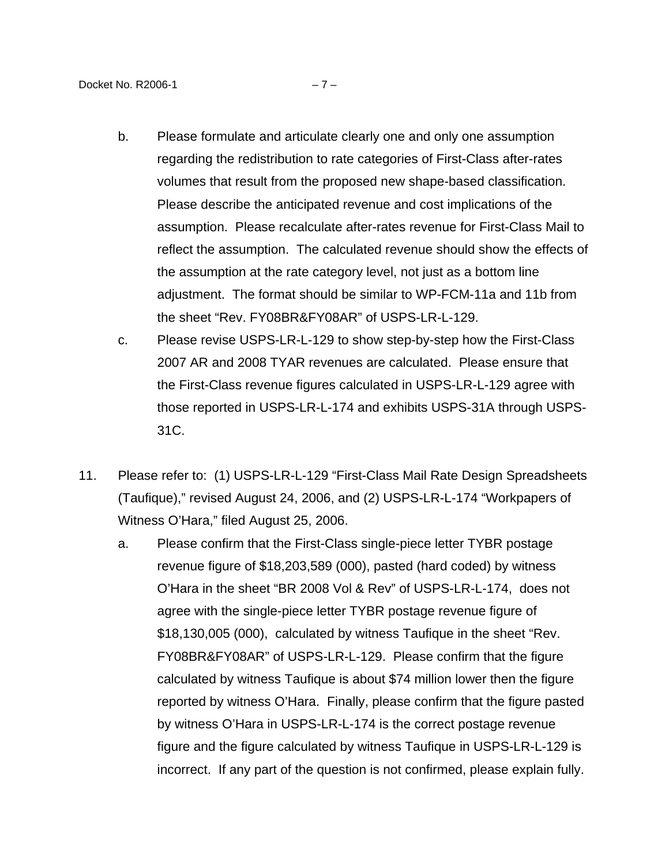- b. Please formulate and articulate clearly one and only one assumption regarding the redistribution to rate categories of First-Class after-rates volumes that result from the proposed new shape-based classification. Please describe the anticipated revenue and cost implications of the assumption. Please recalculate after-rates revenue for First-Class Mail to reflect the assumption. The calculated revenue should show the effects of the assumption at the rate category level, not just as a bottom line adjustment. The format should be similar to WP-FCM-11a and 11b from the sheet "Rev. FY08BR&FY08AR" of USPS-LR-L-129.
- c. Please revise USPS-LR-L-129 to show step-by-step how the First-Class 2007 AR and 2008 TYAR revenues are calculated. Please ensure that the First-Class revenue figures calculated in USPS-LR-L-129 agree with those reported in USPS-LR-L-174 and exhibits USPS-31A through USPS-31C.
- 11. Please refer to: (1) USPS-LR-L-129 "First-Class Mail Rate Design Spreadsheets (Taufique)," revised August 24, 2006, and (2) USPS-LR-L-174 "Workpapers of Witness O'Hara," filed August 25, 2006.
	- a. Please confirm that the First-Class single-piece letter TYBR postage revenue figure of \$18,203,589 (000), pasted (hard coded) by witness O'Hara in the sheet "BR 2008 Vol & Rev" of USPS-LR-L-174, does not agree with the single-piece letter TYBR postage revenue figure of \$18,130,005 (000), calculated by witness Taufique in the sheet "Rev. FY08BR&FY08AR" of USPS-LR-L-129. Please confirm that the figure calculated by witness Taufique is about \$74 million lower then the figure reported by witness O'Hara. Finally, please confirm that the figure pasted by witness O'Hara in USPS-LR-L-174 is the correct postage revenue figure and the figure calculated by witness Taufique in USPS-LR-L-129 is incorrect. If any part of the question is not confirmed, please explain fully.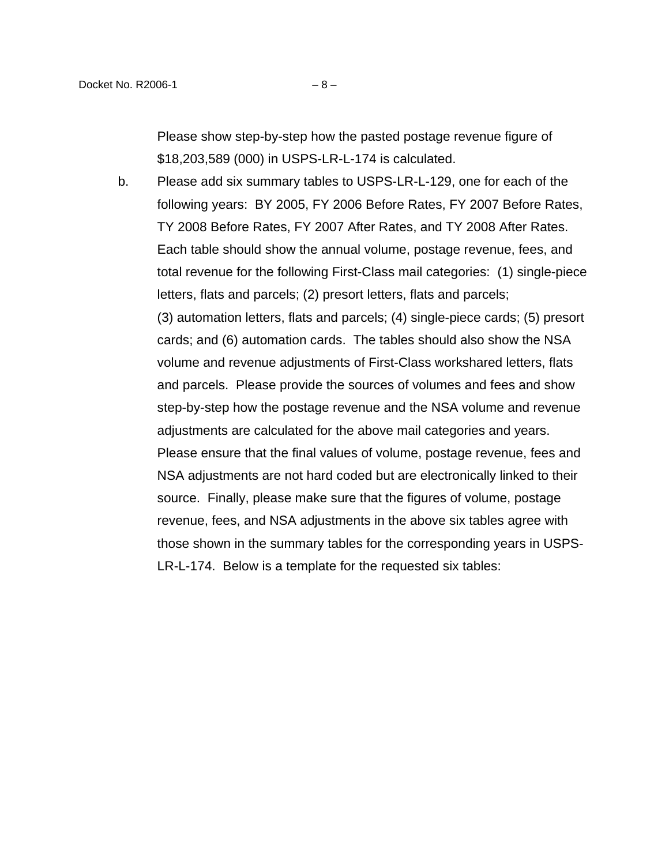Please show step-by-step how the pasted postage revenue figure of \$18,203,589 (000) in USPS-LR-L-174 is calculated.

b. Please add six summary tables to USPS-LR-L-129, one for each of the following years: BY 2005, FY 2006 Before Rates, FY 2007 Before Rates, TY 2008 Before Rates, FY 2007 After Rates, and TY 2008 After Rates. Each table should show the annual volume, postage revenue, fees, and total revenue for the following First-Class mail categories: (1) single-piece letters, flats and parcels; (2) presort letters, flats and parcels; (3) automation letters, flats and parcels; (4) single-piece cards; (5) presort cards; and (6) automation cards. The tables should also show the NSA volume and revenue adjustments of First-Class workshared letters, flats and parcels. Please provide the sources of volumes and fees and show step-by-step how the postage revenue and the NSA volume and revenue adjustments are calculated for the above mail categories and years. Please ensure that the final values of volume, postage revenue, fees and NSA adjustments are not hard coded but are electronically linked to their source. Finally, please make sure that the figures of volume, postage revenue, fees, and NSA adjustments in the above six tables agree with those shown in the summary tables for the corresponding years in USPS-LR-L-174. Below is a template for the requested six tables: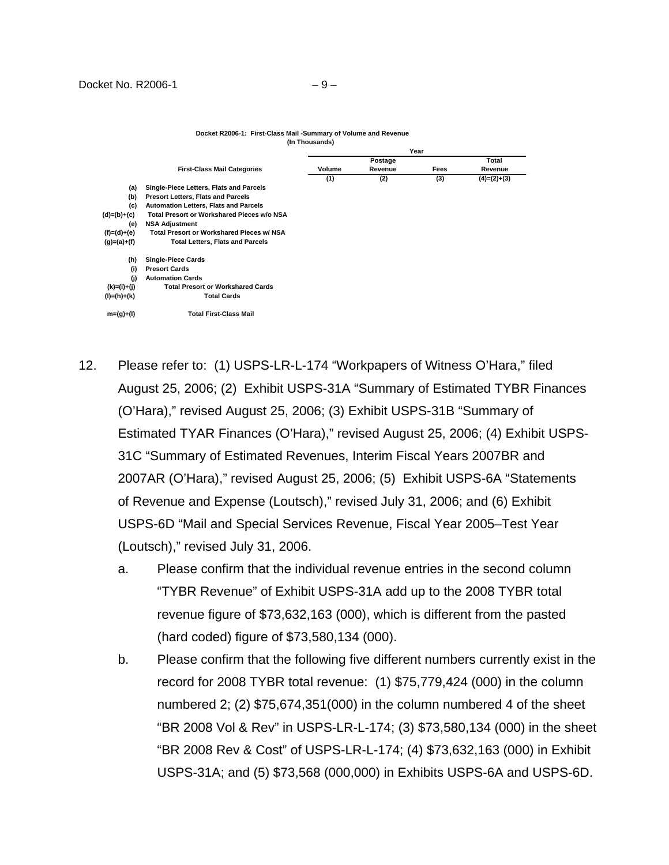|               |                                              | Year    |         |      |               |
|---------------|----------------------------------------------|---------|---------|------|---------------|
|               | <b>First-Class Mail Categories</b>           | Postage |         |      | Total         |
|               |                                              | Volume  | Revenue | Fees | Revenue       |
|               |                                              | (1)     | (2)     | (3)  | $(4)=(2)+(3)$ |
| (a)           | Single-Piece Letters, Flats and Parcels      |         |         |      |               |
| (b)           | <b>Presort Letters, Flats and Parcels</b>    |         |         |      |               |
| (c)           | <b>Automation Letters, Flats and Parcels</b> |         |         |      |               |
| $(d)=(b)+(c)$ | Total Presort or Workshared Pieces w/o NSA   |         |         |      |               |
| (e)           | <b>NSA Adjustment</b>                        |         |         |      |               |
| (f)=(d)+(e)   | Total Presort or Workshared Pieces w/ NSA    |         |         |      |               |
| $(g)=(a)+(f)$ | <b>Total Letters, Flats and Parcels</b>      |         |         |      |               |
| (h)           | <b>Single-Piece Cards</b>                    |         |         |      |               |
| (i)           | <b>Presort Cards</b>                         |         |         |      |               |
| (i)           | <b>Automation Cards</b>                      |         |         |      |               |
| $(k)=(i)+(j)$ | <b>Total Presort or Workshared Cards</b>     |         |         |      |               |
| (l)=(h)+(k)   | <b>Total Cards</b>                           |         |         |      |               |
| $m=(g)+(1)$   | <b>Total First-Class Mail</b>                |         |         |      |               |

## **Docket R2006-1: First-Class Mail -Summary of Volume and Revenue (In Thousands)**

- 12. Please refer to: (1) USPS-LR-L-174 "Workpapers of Witness O'Hara," filed August 25, 2006; (2) Exhibit USPS-31A "Summary of Estimated TYBR Finances (O'Hara)," revised August 25, 2006; (3) Exhibit USPS-31B "Summary of Estimated TYAR Finances (O'Hara)," revised August 25, 2006; (4) Exhibit USPS-31C "Summary of Estimated Revenues, Interim Fiscal Years 2007BR and 2007AR (O'Hara)," revised August 25, 2006; (5) Exhibit USPS-6A "Statements of Revenue and Expense (Loutsch)," revised July 31, 2006; and (6) Exhibit USPS-6D "Mail and Special Services Revenue, Fiscal Year 2005–Test Year (Loutsch)," revised July 31, 2006.
	- a. Please confirm that the individual revenue entries in the second column "TYBR Revenue" of Exhibit USPS-31A add up to the 2008 TYBR total revenue figure of \$73,632,163 (000), which is different from the pasted (hard coded) figure of \$73,580,134 (000).
	- b. Please confirm that the following five different numbers currently exist in the record for 2008 TYBR total revenue: (1) \$75,779,424 (000) in the column numbered 2; (2) \$75,674,351(000) in the column numbered 4 of the sheet "BR 2008 Vol & Rev" in USPS-LR-L-174; (3) \$73,580,134 (000) in the sheet "BR 2008 Rev & Cost" of USPS-LR-L-174; (4) \$73,632,163 (000) in Exhibit USPS-31A; and (5) \$73,568 (000,000) in Exhibits USPS-6A and USPS-6D.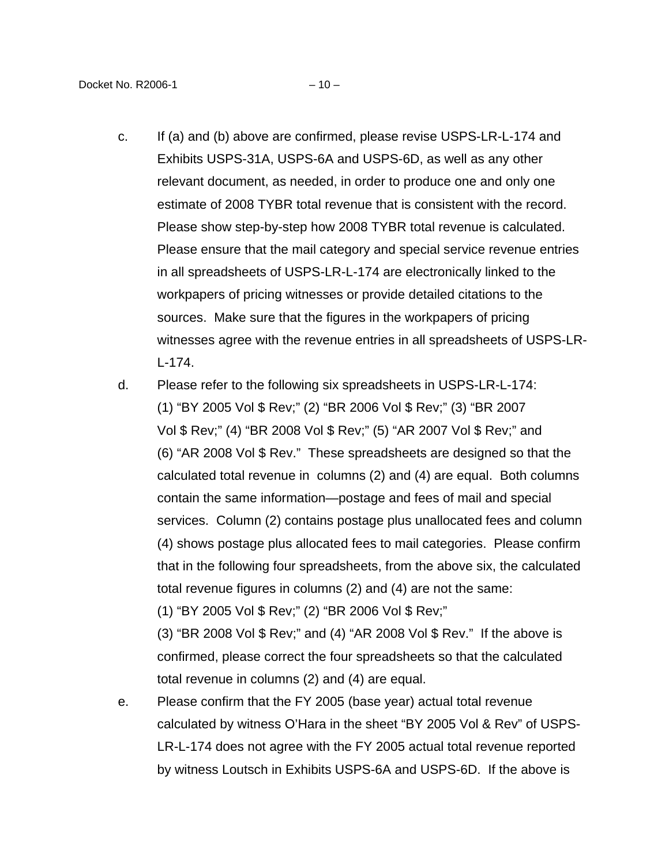- c. If (a) and (b) above are confirmed, please revise USPS-LR-L-174 and Exhibits USPS-31A, USPS-6A and USPS-6D, as well as any other relevant document, as needed, in order to produce one and only one estimate of 2008 TYBR total revenue that is consistent with the record. Please show step-by-step how 2008 TYBR total revenue is calculated. Please ensure that the mail category and special service revenue entries in all spreadsheets of USPS-LR-L-174 are electronically linked to the workpapers of pricing witnesses or provide detailed citations to the sources. Make sure that the figures in the workpapers of pricing witnesses agree with the revenue entries in all spreadsheets of USPS-LR-L-174.
- d. Please refer to the following six spreadsheets in USPS-LR-L-174: (1) "BY 2005 Vol \$ Rev;" (2) "BR 2006 Vol \$ Rev;" (3) "BR 2007 Vol \$ Rev;" (4) "BR 2008 Vol \$ Rev;" (5) "AR 2007 Vol \$ Rev;" and (6) "AR 2008 Vol \$ Rev." These spreadsheets are designed so that the calculated total revenue in columns (2) and (4) are equal. Both columns contain the same information—postage and fees of mail and special services. Column (2) contains postage plus unallocated fees and column (4) shows postage plus allocated fees to mail categories. Please confirm that in the following four spreadsheets, from the above six, the calculated total revenue figures in columns (2) and (4) are not the same:

(1) "BY 2005 Vol \$ Rev;" (2) "BR 2006 Vol \$ Rev;"

(3) "BR 2008 Vol \$ Rev;" and (4) "AR 2008 Vol \$ Rev." If the above is confirmed, please correct the four spreadsheets so that the calculated total revenue in columns (2) and (4) are equal.

e. Please confirm that the FY 2005 (base year) actual total revenue calculated by witness O'Hara in the sheet "BY 2005 Vol & Rev" of USPS-LR-L-174 does not agree with the FY 2005 actual total revenue reported by witness Loutsch in Exhibits USPS-6A and USPS-6D. If the above is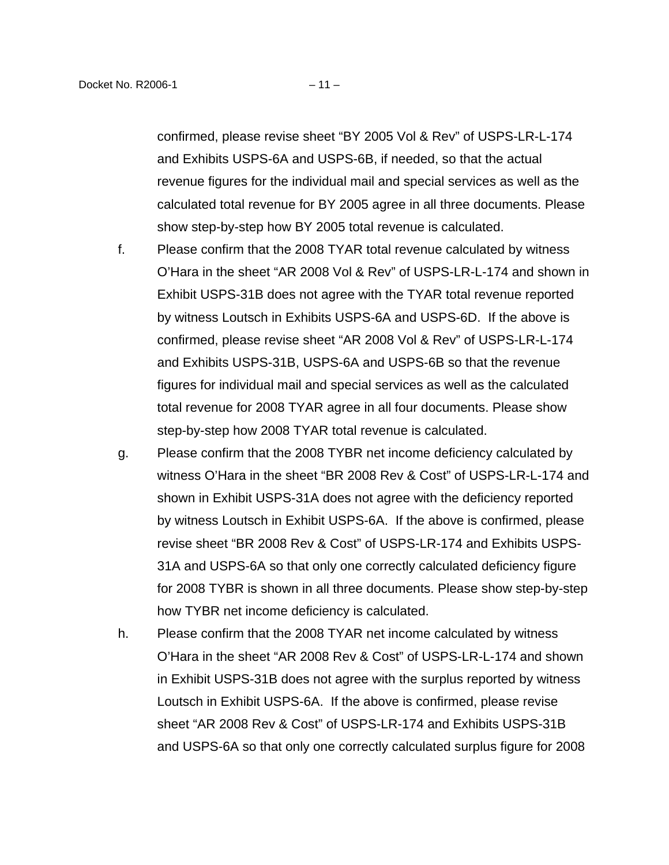confirmed, please revise sheet "BY 2005 Vol & Rev" of USPS-LR-L-174 and Exhibits USPS-6A and USPS-6B, if needed, so that the actual revenue figures for the individual mail and special services as well as the calculated total revenue for BY 2005 agree in all three documents. Please show step-by-step how BY 2005 total revenue is calculated.

- f. Please confirm that the 2008 TYAR total revenue calculated by witness O'Hara in the sheet "AR 2008 Vol & Rev" of USPS-LR-L-174 and shown in Exhibit USPS-31B does not agree with the TYAR total revenue reported by witness Loutsch in Exhibits USPS-6A and USPS-6D. If the above is confirmed, please revise sheet "AR 2008 Vol & Rev" of USPS-LR-L-174 and Exhibits USPS-31B, USPS-6A and USPS-6B so that the revenue figures for individual mail and special services as well as the calculated total revenue for 2008 TYAR agree in all four documents. Please show step-by-step how 2008 TYAR total revenue is calculated.
- g. Please confirm that the 2008 TYBR net income deficiency calculated by witness O'Hara in the sheet "BR 2008 Rev & Cost" of USPS-LR-L-174 and shown in Exhibit USPS-31A does not agree with the deficiency reported by witness Loutsch in Exhibit USPS-6A. If the above is confirmed, please revise sheet "BR 2008 Rev & Cost" of USPS-LR-174 and Exhibits USPS-31A and USPS-6A so that only one correctly calculated deficiency figure for 2008 TYBR is shown in all three documents. Please show step-by-step how TYBR net income deficiency is calculated.
- h. Please confirm that the 2008 TYAR net income calculated by witness O'Hara in the sheet "AR 2008 Rev & Cost" of USPS-LR-L-174 and shown in Exhibit USPS-31B does not agree with the surplus reported by witness Loutsch in Exhibit USPS-6A. If the above is confirmed, please revise sheet "AR 2008 Rev & Cost" of USPS-LR-174 and Exhibits USPS-31B and USPS-6A so that only one correctly calculated surplus figure for 2008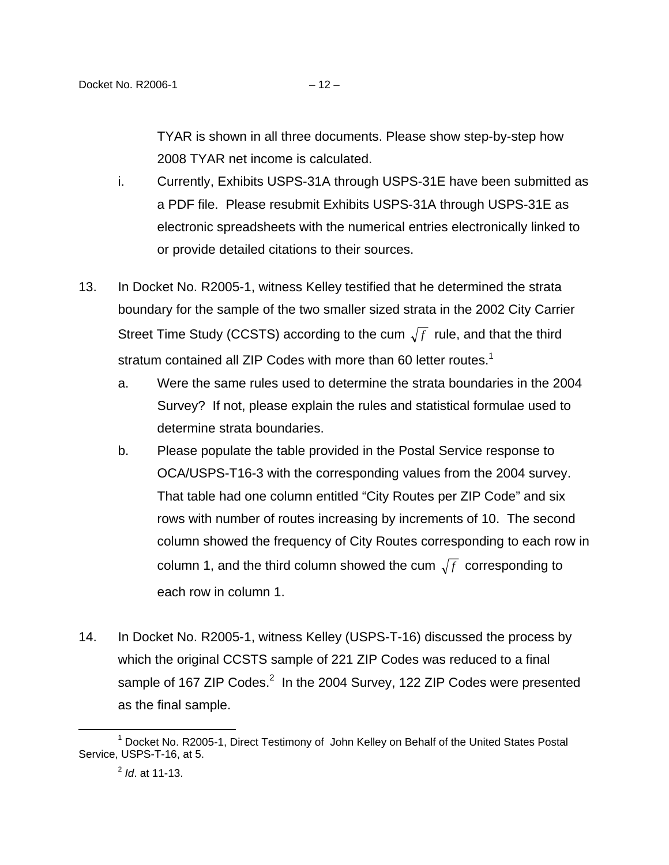TYAR is shown in all three documents. Please show step-by-step how 2008 TYAR net income is calculated.

- i. Currently, Exhibits USPS-31A through USPS-31E have been submitted as a PDF file. Please resubmit Exhibits USPS-31A through USPS-31E as electronic spreadsheets with the numerical entries electronically linked to or provide detailed citations to their sources.
- 13. In Docket No. R2005-1, witness Kelley testified that he determined the strata boundary for the sample of the two smaller sized strata in the 2002 City Carrier Street Time Study (CCSTS) according to the cum  $\sqrt{f}$  rule, and that the third stratum contained all ZIP Codes with more than 60 letter routes.<sup>[1](#page-11-0)</sup>
	- a. Were the same rules used to determine the strata boundaries in the 2004 Survey? If not, please explain the rules and statistical formulae used to determine strata boundaries.
	- b. Please populate the table provided in the Postal Service response to OCA/USPS-T16-3 with the corresponding values from the 2004 survey. That table had one column entitled "City Routes per ZIP Code" and six rows with number of routes increasing by increments of 10. The second column showed the frequency of City Routes corresponding to each row in column 1, and the third column showed the cum  $\sqrt{f}$  corresponding to each row in column 1.
- 14. In Docket No. R2005-1, witness Kelley (USPS-T-16) discussed the process by which the original CCSTS sample of 221 ZIP Codes was reduced to a final sample of 167 ZIP Codes. $^2$  $^2$  In the 2004 Survey, 122 ZIP Codes were presented as the final sample.

 $\overline{\phantom{a}}$  1 <sup>1</sup> Docket No. R2005-1, Direct Testimony of John Kelley on Behalf of the United States Postal Service, USPS-T-16, at 5.

<span id="page-11-1"></span><span id="page-11-0"></span> $^{2}$  *ld.* at 11-13.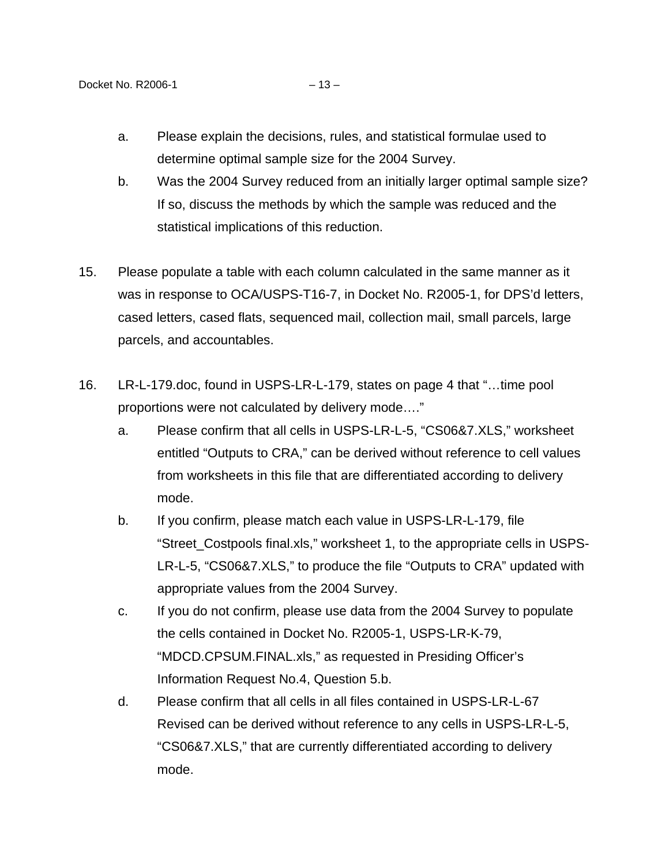- b. Was the 2004 Survey reduced from an initially larger optimal sample size? If so, discuss the methods by which the sample was reduced and the statistical implications of this reduction.
- 15. Please populate a table with each column calculated in the same manner as it was in response to OCA/USPS-T16-7, in Docket No. R2005-1, for DPS'd letters, cased letters, cased flats, sequenced mail, collection mail, small parcels, large parcels, and accountables.
- 16. LR-L-179.doc, found in USPS-LR-L-179, states on page 4 that "…time pool proportions were not calculated by delivery mode…."
	- a. Please confirm that all cells in USPS-LR-L-5, "CS06&7.XLS," worksheet entitled "Outputs to CRA," can be derived without reference to cell values from worksheets in this file that are differentiated according to delivery mode.
	- b. If you confirm, please match each value in USPS-LR-L-179, file "Street Costpools final.xls," worksheet 1, to the appropriate cells in USPS-LR-L-5, "CS06&7.XLS," to produce the file "Outputs to CRA" updated with appropriate values from the 2004 Survey.
	- c. If you do not confirm, please use data from the 2004 Survey to populate the cells contained in Docket No. R2005-1, USPS-LR-K-79, "MDCD.CPSUM.FINAL.xls," as requested in Presiding Officer's Information Request No.4, Question 5.b.
	- d. Please confirm that all cells in all files contained in USPS-LR-L-67 Revised can be derived without reference to any cells in USPS-LR-L-5, "CS06&7.XLS," that are currently differentiated according to delivery mode.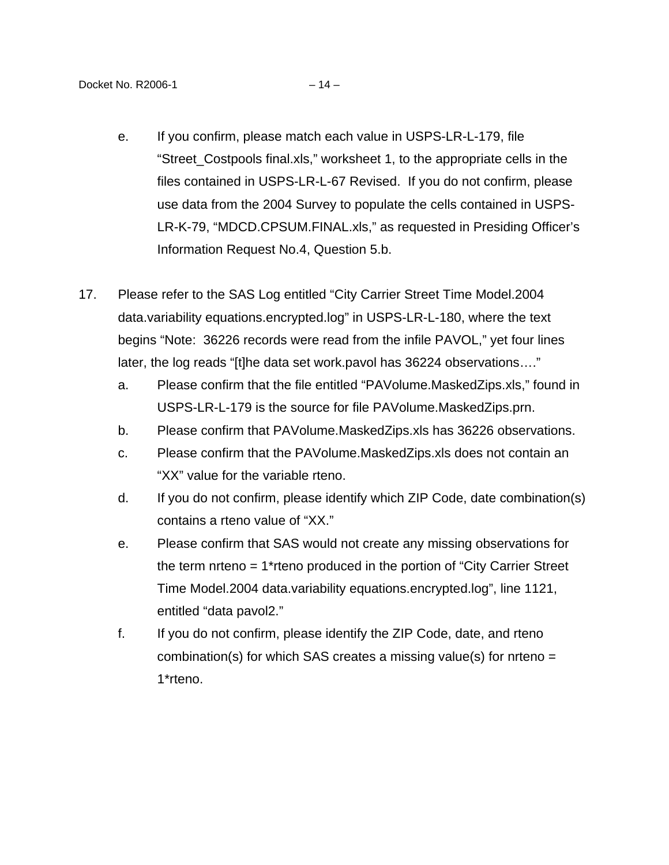- e. If you confirm, please match each value in USPS-LR-L-179, file "Street Costpools final.xls," worksheet 1, to the appropriate cells in the files contained in USPS-LR-L-67 Revised. If you do not confirm, please use data from the 2004 Survey to populate the cells contained in USPS-LR-K-79, "MDCD.CPSUM.FINAL.xls," as requested in Presiding Officer's Information Request No.4, Question 5.b.
- 17. Please refer to the SAS Log entitled "City Carrier Street Time Model.2004 data.variability equations.encrypted.log" in USPS-LR-L-180, where the text begins "Note: 36226 records were read from the infile PAVOL," yet four lines later, the log reads "[t]he data set work.pavol has 36224 observations…."
	- a. Please confirm that the file entitled "PAVolume.MaskedZips.xls," found in USPS-LR-L-179 is the source for file PAVolume.MaskedZips.prn.
	- b. Please confirm that PAVolume.MaskedZips.xls has 36226 observations.
	- c. Please confirm that the PAVolume.MaskedZips.xls does not contain an "XX" value for the variable rteno.
	- d. If you do not confirm, please identify which ZIP Code, date combination(s) contains a rteno value of "XX."
	- e. Please confirm that SAS would not create any missing observations for the term nrteno = 1\*rteno produced in the portion of "City Carrier Street Time Model.2004 data.variability equations.encrypted.log", line 1121, entitled "data pavol2."
	- f. If you do not confirm, please identify the ZIP Code, date, and rteno combination(s) for which SAS creates a missing value(s) for nrteno = 1\*rteno.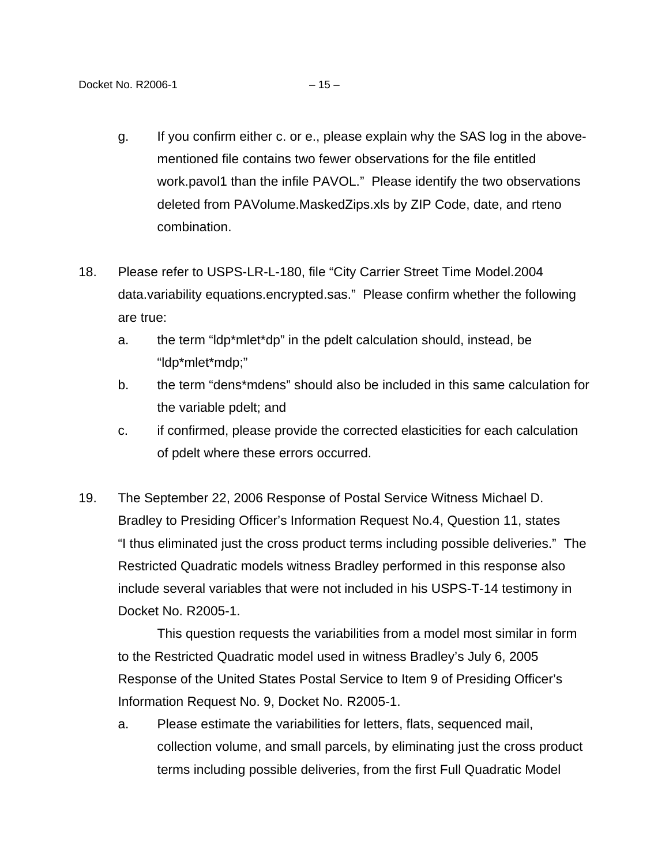- g. If you confirm either c. or e., please explain why the SAS log in the abovementioned file contains two fewer observations for the file entitled work.pavol1 than the infile PAVOL." Please identify the two observations deleted from PAVolume.MaskedZips.xls by ZIP Code, date, and rteno combination.
- 18. Please refer to USPS-LR-L-180, file "City Carrier Street Time Model.2004 data.variability equations.encrypted.sas." Please confirm whether the following are true:
	- a. the term "ldp\*mlet\*dp" in the pdelt calculation should, instead, be "ldp\*mlet\*mdp;"
	- b. the term "dens\*mdens" should also be included in this same calculation for the variable pdelt; and
	- c. if confirmed, please provide the corrected elasticities for each calculation of pdelt where these errors occurred.
- 19. The September 22, 2006 Response of Postal Service Witness Michael D. Bradley to Presiding Officer's Information Request No.4, Question 11, states "I thus eliminated just the cross product terms including possible deliveries." The Restricted Quadratic models witness Bradley performed in this response also include several variables that were not included in his USPS-T-14 testimony in Docket No. R2005-1.

This question requests the variabilities from a model most similar in form to the Restricted Quadratic model used in witness Bradley's July 6, 2005 Response of the United States Postal Service to Item 9 of Presiding Officer's Information Request No. 9, Docket No. R2005-1.

a. Please estimate the variabilities for letters, flats, sequenced mail, collection volume, and small parcels, by eliminating just the cross product terms including possible deliveries, from the first Full Quadratic Model